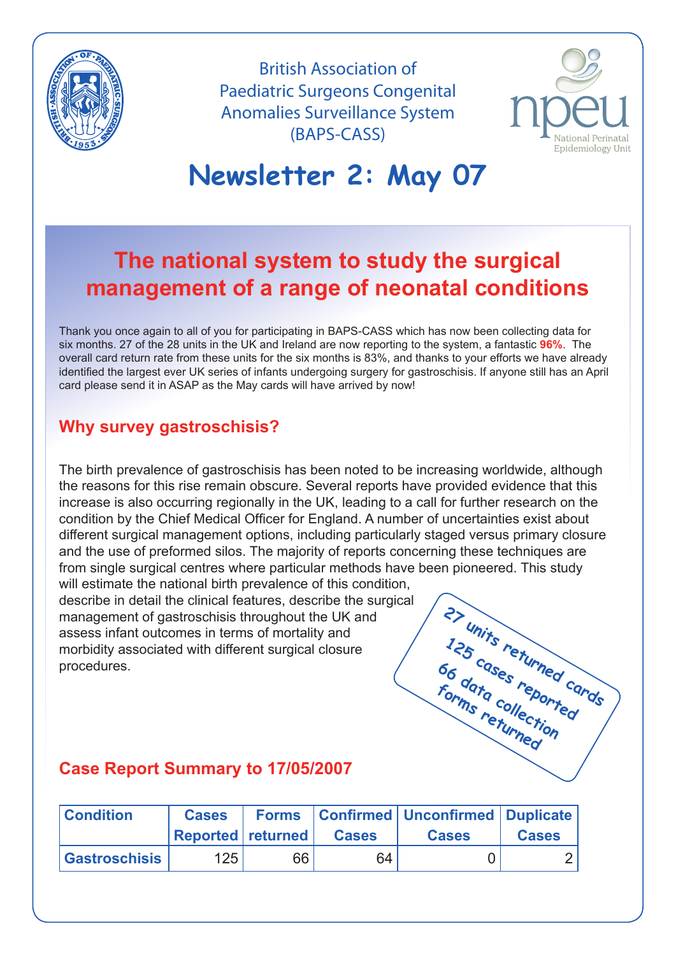

British Association of Paediatric Surgeons Congenital Anomalies Surveillance System (BAPS-CASS)



# **Newsletter 2: May 07**

# **The national system to study the surgical management of a range of neonatal conditions**

Thank you once again to all of you for participating in BAPS-CASS which has now been collecting data for six months. 27 of the 28 units in the UK and Ireland are now reporting to the system, a fantastic **96%**. The overall card return rate from these units for the six months is 83%, and thanks to your efforts we have already identified the largest ever UK series of infants undergoing surgery for gastroschisis. If anyone still has an April card please send it in ASAP as the May cards will have arrived by now!

#### **Why survey gastroschisis?**

The birth prevalence of gastroschisis has been noted to be increasing worldwide, although the reasons for this rise remain obscure. Several reports have provided evidence that this increase is also occurring regionally in the UK, leading to a call for further research on the condition by the Chief Medical Officer for England. A number of uncertainties exist about different surgical management options, including particularly staged versus primary closure and the use of preformed silos. The majority of reports concerning these techniques are from single surgical centres where particular methods have been pioneered. This study

will estimate the national birth prevalence of this condition. describe in detail the clinical features, describe the surgical management of gastroschisis throughout the UK and assess infant outcomes in terms of mortality and morbidity associated with different surgical closure procedures.



#### **Case Report Summary to 17/05/2007**

| <b>Condition</b>     | <b>Cases</b>             |    |              | <b>Forms</b>   Confirmed   Unconfirmed   Duplicate |              |
|----------------------|--------------------------|----|--------------|----------------------------------------------------|--------------|
|                      | <b>Reported returned</b> |    | <b>Cases</b> | <b>Cases</b>                                       | <b>Cases</b> |
| <b>Gastroschisis</b> | 125                      | 66 | 64           |                                                    |              |